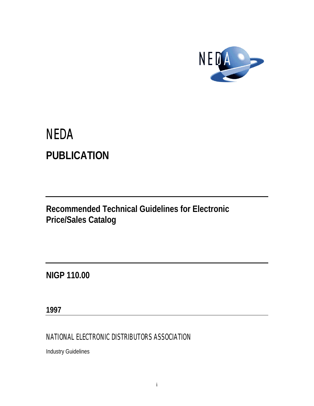

# **NEDA PUBLICATION**

**Recommended Technical Guidelines for Electronic Price/Sales Catalog**

**NIGP 110.00**

**1997**

NATIONAL ELECTRONIC DISTRIBUTORS ASSOCIATION

Industry Guidelines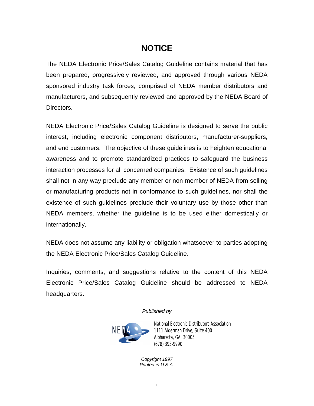### **NOTICE**

The NEDA Electronic Price/Sales Catalog Guideline contains material that has been prepared, progressively reviewed, and approved through various NEDA sponsored industry task forces, comprised of NEDA member distributors and manufacturers, and subsequently reviewed and approved by the NEDA Board of Directors.

NEDA Electronic Price/Sales Catalog Guideline is designed to serve the public interest, including electronic component distributors, manufacturer-suppliers, and end customers. The objective of these guidelines is to heighten educational awareness and to promote standardized practices to safeguard the business interaction processes for all concerned companies. Existence of such guidelines shall not in any way preclude any member or non-member of NEDA from selling or manufacturing products not in conformance to such guidelines, nor shall the existence of such guidelines preclude their voluntary use by those other than NEDA members, whether the guideline is to be used either domestically or internationally.

NEDA does not assume any liability or obligation whatsoever to parties adopting the NEDA Electronic Price/Sales Catalog Guideline.

Inquiries, comments, and suggestions relative to the content of this NEDA Electronic Price/Sales Catalog Guideline should be addressed to NEDA headquarters.

*Published by*



National Electronic Distributors Association 1111 Alderman Drive, Suite 400 Alpharetta, GA 30005 (678) 393-9990

*Copyright 1997 Printed in U.S.A.*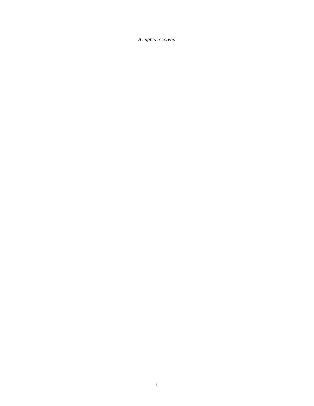*All rights reserved*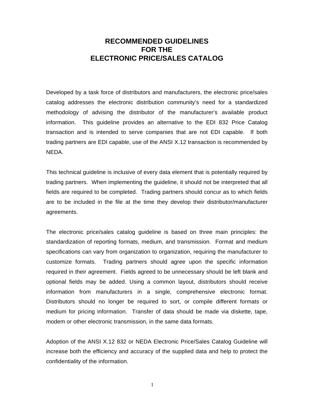### **RECOMMENDED GUIDELINES FOR THE ELECTRONIC PRICE/SALES CATALOG**

Developed by a task force of distributors and manufacturers, the electronic price/sales catalog addresses the electronic distribution community's need for a standardized methodology of advising the distributor of the manufacturer's available product information. This guideline provides an alternative to the EDI 832 Price Catalog transaction and is intended to serve companies that are not EDI capable. If both trading partners are EDI capable, use of the ANSI X.12 transaction is recommended by NEDA.

This technical guideline is inclusive of every data element that is potentially required by trading partners. When implementing the guideline, it should not be interpreted that all fields are required to be completed. Trading partners should concur as to which fields are to be included in the file at the time they develop their distributor/manufacturer agreements.

The electronic price/sales catalog guideline is based on three main principles: the standardization of reporting formats, medium, and transmission. Format and medium specifications can vary from organization to organization, requiring the manufacturer to customize formats. Trading partners should agree upon the specific information required in their agreement. Fields agreed to be unnecessary should be left blank and optional fields may be added. Using a common layout, distributors should receive information from manufacturers in a single, comprehensive electronic format. Distributors should no longer be required to sort, or compile different formats or medium for pricing information. Transfer of data should be made via diskette, tape, modem or other electronic transmission, in the same data formats.

Adoption of the ANSI X.12 832 or NEDA Electronic Price/Sales Catalog Guideline will increase both the efficiency and accuracy of the supplied data and help to protect the confidentiality of the information.

1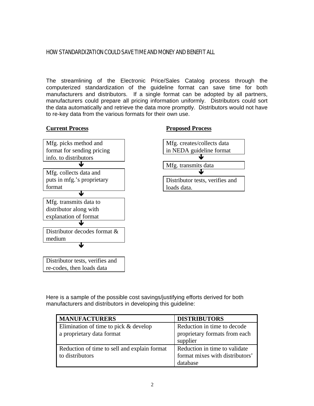#### HOW STANDARDIZATION COULD SAVE TIME AND MONEY AND BENEFIT ALL

The streamlining of the Electronic Price/Sales Catalog process through the computerized standardization of the guideline format can save time for both manufacturers and distributors. If a single format can be adopted by all partners, manufacturers could prepare all pricing information uniformly. Distributors could sort the data automatically and retrieve the data more promptly. Distributors would not have to re-key data from the various formats for their own use.

#### **Current Process**



#### **Proposed Process**



Here is a sample of the possible cost savings/justifying efforts derived for both manufacturers and distributors in developing this guideline:

| <b>MANUFACTURERS</b>                         | <b>DISTRIBUTORS</b>             |
|----------------------------------------------|---------------------------------|
| Elimination of time to pick $&$ develop      | Reduction in time to decode     |
| a proprietary data format                    | proprietary formats from each   |
|                                              | supplier                        |
| Reduction of time to sell and explain format | Reduction in time to validate   |
| to distributors                              | format mixes with distributors' |
|                                              | database                        |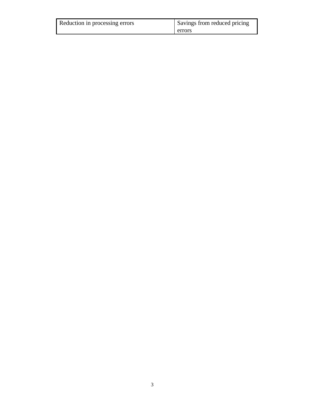| Reduction in processing errors | Savings from reduced pricing |
|--------------------------------|------------------------------|
|                                | errors                       |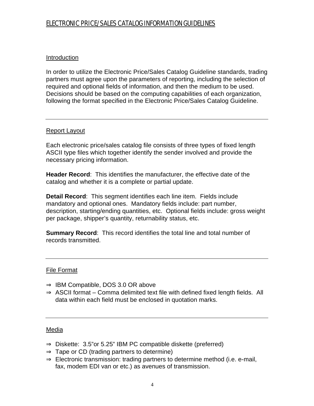### ELECTRONIC PRICE/SALES CATALOG INFORMATION GUIDELINES

#### Introduction

In order to utilize the Electronic Price/Sales Catalog Guideline standards, trading partners must agree upon the parameters of reporting, including the selection of required and optional fields of information, and then the medium to be used. Decisions should be based on the computing capabilities of each organization, following the format specified in the Electronic Price/Sales Catalog Guideline.

#### Report Layout

Each electronic price/sales catalog file consists of three types of fixed length ASCII type files which together identify the sender involved and provide the necessary pricing information.

**Header Record**: This identifies the manufacturer, the effective date of the catalog and whether it is a complete or partial update.

**Detail Record**: This segment identifies each line item. Fields include mandatory and optional ones. Mandatory fields include: part number, description, starting/ending quantities, etc. Optional fields include: gross weight per package, shipper's quantity, returnability status, etc.

**Summary Record**: This record identifies the total line and total number of records transmitted.

#### File Format

- $\Rightarrow$  IBM Compatible, DOS 3.0 OR above
- $\Rightarrow$  ASCII format Comma delimited text file with defined fixed length fields. All data within each field must be enclosed in quotation marks.

#### Media

- $\Rightarrow$  Diskette: 3.5" or 5.25" IBM PC compatible diskette (preferred)
- $\Rightarrow$  Tape or CD (trading partners to determine)
- $\Rightarrow$  Electronic transmission: trading partners to determine method (i.e. e-mail, fax, modem EDI van or etc.) as avenues of transmission.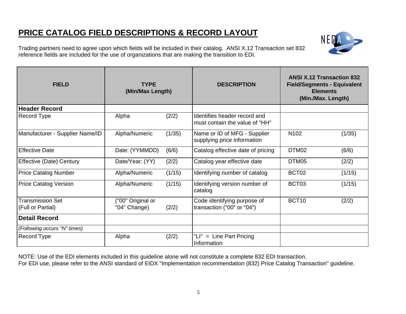Trading partners need to agree upon which fields will be included in their catalog. ANSI X.12 Transaction set 832 reference fields are included for the use of organizations that are making the transition to EDI.



| <b>FIELD</b>                                 | <b>TYPE</b><br>(Min/Max Length)   |        | <b>DESCRIPTION</b>                                             | <b>ANSI X.12 Transaction 832</b><br><b>Field/Segments - Equivalent</b><br><b>Elements</b><br>(Min./Max. Length) |        |
|----------------------------------------------|-----------------------------------|--------|----------------------------------------------------------------|-----------------------------------------------------------------------------------------------------------------|--------|
| <b>Header Record</b>                         |                                   |        |                                                                |                                                                                                                 |        |
| Record Type                                  | Alpha                             | (2/2)  | Identifies header record and<br>must contain the value of "HH" |                                                                                                                 |        |
| Manufacturer - Supplier Name/ID              | Alpha/Numeric                     | (1/35) | Name or ID of MFG - Supplier<br>supplying price information    | N <sub>102</sub>                                                                                                | (1/35) |
| <b>Effective Date</b>                        | Date: (YYMMDD)                    | (6/6)  | Catalog effective date of pricing                              | DTM <sub>02</sub>                                                                                               | (6/6)  |
| <b>Effective (Date) Century</b>              | Date/Year: (YY)                   | (2/2)  | Catalog year effective date                                    | DTM05                                                                                                           | (2/2)  |
| <b>Price Catalog Number</b>                  | Alpha/Numeric                     | (1/15) | Identifying number of catalog                                  | BCT <sub>02</sub>                                                                                               | (1/15) |
| <b>Price Catalog Version</b>                 | Alpha/Numeric                     | (1/15) | Identifying version number of<br>catalog                       | BCT03                                                                                                           | (1/15) |
| <b>Transmission Set</b><br>(Full or Partial) | ("00" Original or<br>"04" Change) | (2/2)  | Code identifying purpose of<br>transaction ("00" or "04")      | BCT <sub>10</sub>                                                                                               | (2/2)  |
| <b>Detail Record</b>                         |                                   |        |                                                                |                                                                                                                 |        |
| (Following occurs "N" times)                 |                                   |        |                                                                |                                                                                                                 |        |
| Record Type                                  | Alpha                             | (2/2)  | "LI" = Line Part Pricing<br>Information                        |                                                                                                                 |        |

NOTE: Use of the EDI elements included in this guideline alone will not constitute a complete 832 EDI transaction. For EDI use, please refer to the ANSI standard of EIDX "Implementation recommendation (832) Price Catalog Transaction" guideline.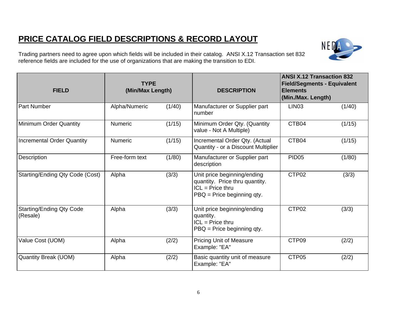Trading partners need to agree upon which fields will be included in their catalog. ANSI X.12 Transaction set 832 reference fields are included for the use of organizations that are making the transition to EDI.

| <b>FIELD</b>                                | <b>TYPE</b><br>(Min/Max Length) |        | <b>DESCRIPTION</b>                                                                                                   | <b>ANSI X.12 Transaction 832</b><br><b>Field/Segments - Equivalent</b><br><b>Elements</b><br>(Min./Max. Length) |        |
|---------------------------------------------|---------------------------------|--------|----------------------------------------------------------------------------------------------------------------------|-----------------------------------------------------------------------------------------------------------------|--------|
| <b>Part Number</b>                          | Alpha/Numeric                   | (1/40) | Manufacturer or Supplier part<br>number                                                                              | LIN <sub>03</sub>                                                                                               | (1/40) |
| <b>Minimum Order Quantity</b>               | <b>Numeric</b>                  | (1/15) | Minimum Order Qty. (Quantity<br>value - Not A Multiple)                                                              | CTB04                                                                                                           | (1/15) |
| <b>Incremental Order Quantity</b>           | Numeric                         | (1/15) | Incremental Order Qty. (Actual<br>Quantity - or a Discount Multiplier                                                | CTB04                                                                                                           | (1/15) |
| Description                                 | Free-form text                  | (1/80) | Manufacturer or Supplier part<br>description                                                                         | <b>PID05</b>                                                                                                    | (1/80) |
| Starting/Ending Qty Code (Cost)             | Alpha                           | (3/3)  | Unit price beginning/ending<br>quantity. Price thru quantity.<br>$ICL = Price$ thru<br>$P$ BQ = Price beginning qty. | CTP02                                                                                                           | (3/3)  |
| <b>Starting/Ending Qty Code</b><br>(Resale) | Alpha                           | (3/3)  | Unit price beginning/ending<br>quantity.<br>$ICL = Price$ thru<br>$P$ BQ = Price beginning qty.                      | CTP <sub>02</sub>                                                                                               | (3/3)  |
| Value Cost (UOM)                            | Alpha                           | (2/2)  | <b>Pricing Unit of Measure</b><br>Example: "EA"                                                                      | CTP09                                                                                                           | (2/2)  |
| <b>Quantity Break (UOM)</b>                 | Alpha                           | (2/2)  | Basic quantity unit of measure<br>Example: "EA"                                                                      | CTP <sub>05</sub>                                                                                               | (2/2)  |

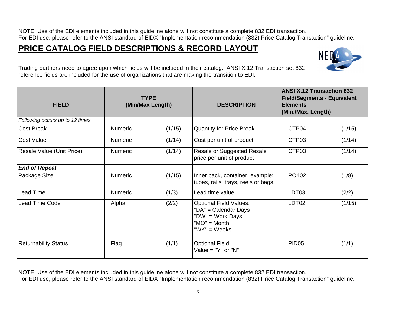NOTE: Use of the EDI elements included in this guideline alone will not constitute a complete 832 EDI transaction. For EDI use, please refer to the ANSI standard of EIDX "Implementation recommendation (832) Price Catalog Transaction" guideline.

### **PRICE CATALOG FIELD DESCRIPTIONS & RECORD LAYOUT**



Trading partners need to agree upon which fields will be included in their catalog. ANSI X.12 Transaction set 832 reference fields are included for the use of organizations that are making the transition to EDI.

| <b>FIELD</b>                    |                | <b>TYPE</b><br>(Min/Max Length) | <b>DESCRIPTION</b>                                                                                          | <b>ANSI X.12 Transaction 832</b><br><b>Field/Segments - Equivalent</b><br><b>Elements</b><br>(Min./Max. Length) |        |
|---------------------------------|----------------|---------------------------------|-------------------------------------------------------------------------------------------------------------|-----------------------------------------------------------------------------------------------------------------|--------|
| Following occurs up to 12 times |                |                                 |                                                                                                             |                                                                                                                 |        |
| <b>Cost Break</b>               | <b>Numeric</b> | (1/15)                          | <b>Quantity for Price Break</b>                                                                             | CTP04                                                                                                           | (1/15) |
| Cost Value                      | <b>Numeric</b> | (1/14)                          | Cost per unit of product                                                                                    | CTP03                                                                                                           | (1/14) |
| Resale Value (Unit Price)       | <b>Numeric</b> | (1/14)                          | <b>Resale or Suggested Resale</b><br>price per unit of product                                              | CTP03                                                                                                           | (1/14) |
| <b>End of Repeat</b>            |                |                                 |                                                                                                             |                                                                                                                 |        |
| Package Size                    | <b>Numeric</b> | (1/15)                          | Inner pack, container, example:<br>tubes, rails, trays, reels or bags.                                      | PO402                                                                                                           | (1/8)  |
| Lead Time                       | <b>Numeric</b> | (1/3)                           | Lead time value                                                                                             | LDT03                                                                                                           | (2/2)  |
| <b>Lead Time Code</b>           | Alpha          | (2/2)                           | <b>Optional Field Values:</b><br>"DA" = Calendar Days<br>"DW" = Work Days<br>$"MO" = Month$<br>"WK" = Weeks | LDT <sub>02</sub>                                                                                               | (1/15) |
| <b>Returnability Status</b>     | Flag           | (1/1)                           | <b>Optional Field</b><br>Value = $"Y"$ or $"N"$                                                             | PID <sub>05</sub>                                                                                               | (1/1)  |

NOTE: Use of the EDI elements included in this guideline alone will not constitute a complete 832 EDI transaction.

For EDI use, please refer to the ANSI standard of EIDX "Implementation recommendation (832) Price Catalog Transaction" guideline.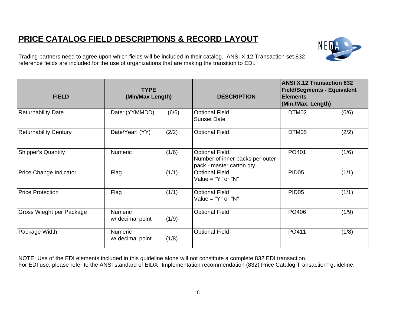

Trading partners need to agree upon which fields will be included in their catalog. ANSI X.12 Transaction set 832 reference fields are included for the use of organizations that are making the transition to EDI.

| <b>FIELD</b>                 | <b>TYPE</b><br>(Min/Max Length)    |       | <b>DESCRIPTION</b>                                                              | <b>ANSI X.12 Transaction 832</b><br><b>Field/Segments - Equivalent</b><br><b>Elements</b><br>(Min./Max. Length) |       |  |
|------------------------------|------------------------------------|-------|---------------------------------------------------------------------------------|-----------------------------------------------------------------------------------------------------------------|-------|--|
| <b>Returnability Date</b>    | Date: (YYMMDD)                     | (6/6) | <b>Optional Field</b><br><b>Sunset Date</b>                                     | DTM02                                                                                                           | (6/6) |  |
| <b>Returnability Century</b> | Date/Year: (YY)                    | (2/2) | <b>Optional Field</b>                                                           | DTM05                                                                                                           | (2/2) |  |
| <b>Shipper's Quantity</b>    | <b>Numeric</b>                     | (1/6) | Optional Field.<br>Number of inner packs per outer<br>pack - master carton qty. | PO401                                                                                                           | (1/6) |  |
| Price Change Indicator       | Flag                               | (1/1) | <b>Optional Field</b><br>Value = $"Y"$ or $"N"$                                 | <b>PID05</b>                                                                                                    | (1/1) |  |
| <b>Price Protection</b>      | Flag                               | (1/1) | <b>Optional Field</b><br>Value = $"Y"$ or $"N"$                                 | <b>PID05</b>                                                                                                    | (1/1) |  |
| Gross Wieght per Package     | <b>Numeric</b><br>w/ decimal point | (1/9) | <b>Optional Field</b>                                                           | PO406                                                                                                           | (1/9) |  |
| Package Width                | <b>Numeric</b><br>w/ decimal point | (1/8) | <b>Optional Field</b>                                                           | PO411                                                                                                           | (1/8) |  |

NOTE: Use of the EDI elements included in this guideline alone will not constitute a complete 832 EDI transaction.

For EDI use, please refer to the ANSI standard of EIDX "Implementation recommendation (832) Price Catalog Transaction" guideline.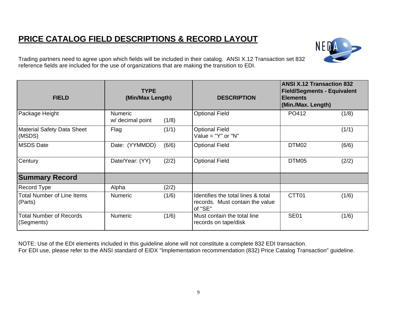

Trading partners need to agree upon which fields will be included in their catalog. ANSI X.12 Transaction set 832 reference fields are included for the use of organizations that are making the transition to EDI.

| <b>FIELD</b>                                 | <b>TYPE</b><br>(Min/Max Length)    |       | <b>DESCRIPTION</b>                                                               | <b>ANSI X.12 Transaction 832</b><br><b>Field/Segments - Equivalent</b><br><b>Elements</b><br>(Min./Max. Length) |       |
|----------------------------------------------|------------------------------------|-------|----------------------------------------------------------------------------------|-----------------------------------------------------------------------------------------------------------------|-------|
| Package Height                               | <b>Numeric</b><br>w/ decimal point | (1/8) | <b>Optional Field</b>                                                            | PO412                                                                                                           | (1/8) |
| <b>Material Safety Data Sheet</b><br>(MSDS)  | Flag                               | (1/1) | <b>Optional Field</b><br>Value = $"Y"$ or $"N"$                                  |                                                                                                                 | (1/1) |
| <b>MSDS Date</b>                             | Date: (YYMMDD)                     | (6/6) | <b>Optional Field</b>                                                            | DTM02                                                                                                           | (6/6) |
| Century                                      | Date/Year: (YY)                    | (2/2) | <b>Optional Field</b>                                                            | DTM05                                                                                                           | (2/2) |
| <b>Summary Record</b>                        |                                    |       |                                                                                  |                                                                                                                 |       |
| Record Type                                  | Alpha                              | (2/2) |                                                                                  |                                                                                                                 |       |
| Total Number of Line Items<br>(Parts)        | <b>Numeric</b>                     | (1/6) | Identifies the total lines & total<br>records. Must contain the value<br>of "SE" | CTT01                                                                                                           | (1/6) |
| <b>Total Number of Records</b><br>(Segments) | <b>Numeric</b>                     | (1/6) | Must contain the total line<br>records on tape/disk                              | <b>SE01</b>                                                                                                     | (1/6) |

NOTE: Use of the EDI elements included in this guideline alone will not constitute a complete 832 EDI transaction. For EDI use, please refer to the ANSI standard of EIDX "Implementation recommendation (832) Price Catalog Transaction" guideline.